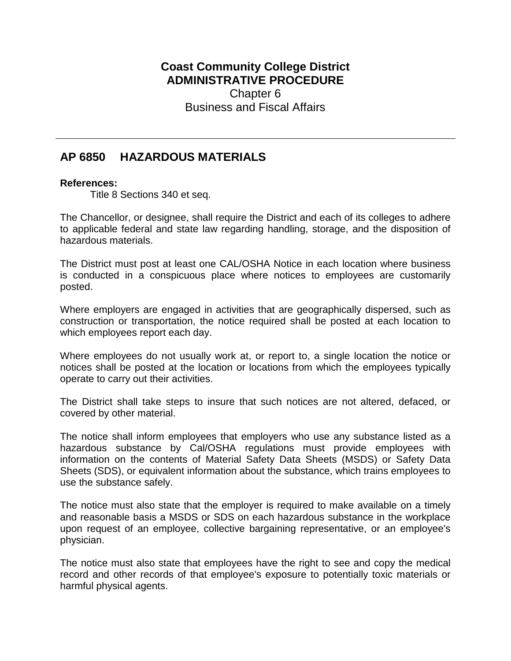## **Coast Community College District ADMINISTRATIVE PROCEDURE** Chapter 6 Business and Fiscal Affairs

## **AP 6850 HAZARDOUS MATERIALS**

## **References:**

Title 8 Sections 340 et seq.

The Chancellor, or designee, shall require the District and each of its colleges to adhere to applicable federal and state law regarding handling, storage, and the disposition of hazardous materials.

The District must post at least one CAL/OSHA Notice in each location where business is conducted in a conspicuous place where notices to employees are customarily posted.

Where employers are engaged in activities that are geographically dispersed, such as construction or transportation, the notice required shall be posted at each location to which employees report each day.

Where employees do not usually work at, or report to, a single location the notice or notices shall be posted at the location or locations from which the employees typically operate to carry out their activities.

The District shall take steps to insure that such notices are not altered, defaced, or covered by other material.

The notice shall inform employees that employers who use any substance listed as a hazardous substance by Cal/OSHA regulations must provide employees with information on the contents of Material Safety Data Sheets (MSDS) or Safety Data Sheets (SDS), or equivalent information about the substance, which trains employees to use the substance safely.

The notice must also state that the employer is required to make available on a timely and reasonable basis a MSDS or SDS on each hazardous substance in the workplace upon request of an employee, collective bargaining representative, or an employee's physician.

The notice must also state that employees have the right to see and copy the medical record and other records of that employee's exposure to potentially toxic materials or harmful physical agents.